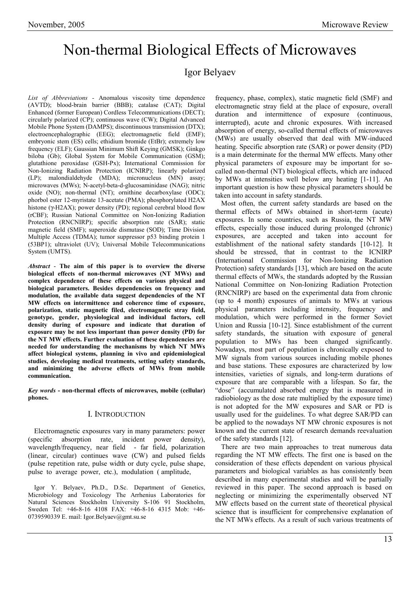# Non-thermal Biological Effects of Microwaves

# Igor Belyaev

*List of Abbreviations -* Anomalous viscosity time dependence (AVTD); blood-brain barrier (BBB); catalase (CAT); Digital Enhanced (former European) Cordless Telecommunications (DECT); circularly polarized (CP); continuous wave (CW); Digital Advanced Mobile Phone System (DAMPS); discontinuous transmission (DTX); electroencephalographic (EEG); electromagnetic field (EMF); embryonic stem (ES) cells; ethidium bromide (EtBr); extremely low frequency (ELF); Gaussian Minimum Shift Keying (GMSK); Ginkgo biloba (Gb); Global System for Mobile Communication (GSM); glutathione peroxidase (GSH-Px); International Commission for Non-Ionizing Radiation Protection (ICNIRP); linearly polarized (LP); malondialdehyde (MDA); micronucleus (MN) assay; microwaves (MWs); N-acetyl-beta-d-glucosaminidase (NAG); nitric oxide (NO); non-thermal (NT); ornithine decarboxylase (ODC); phorbol ester 12-myristate 13-acetate (PMA); phosphorylated H2AX histone (γ-H2AX); power density (PD); regional cerebral blood flow (rCBF); Russian National Committee on Non-Ionizing Radiation Protection (RNCNIRP); specific absorption rate (SAR); static magnetic field (SMF); superoxide dismutase (SOD); Time Division Multiple Access (TDMA); tumor suppressor p53 binding protein 1 (53BP1); ultraviolet (UV); Universal Mobile Telecommunications System (UMTS).

*Abstract* - **The aim of this paper is to overview the diverse biological effects of non-thermal microwaves (NT MWs) and complex dependence of these effects on various physical and biological parameters. Besides dependencies on frequency and modulation, the available data suggest dependencies of the NT MW effects on intermittence and coherence time of exposure, polarization, static magnetic filed, electromagnetic stray field, genotype, gender, physiological and individual factors, cell density during of exposure and indicate that duration of exposure may be not less important than power density (PD) for the NT MW effects. Further evaluation of these dependencies are needed for understanding the mechanisms by which NT MWs affect biological systems, planning in vivo and epidemiological studies, developing medical treatments, setting safety standards, and minimizing the adverse effects of MWs from mobile communication.** 

*Key words* **- non-thermal effects of microwaves, mobile (cellular) phones.** 

## I. INTRODUCTION

Electromagnetic exposures vary in many parameters: power (specific absorption rate, incident power density), wavelength/frequency, near field - far field, polarization (linear, circular) continues wave (CW) and pulsed fields (pulse repetition rate, pulse width or duty cycle, pulse shape, pulse to average power, etc.), modulation ( amplitude,

Igor Y. Belyaev, Ph.D., D.Sc. Department of Genetics, Microbiology and Toxicology The Arrhenius Laboratories for Natural Sciences Stockholm University S-106 91 Stockholm, Sweden Tel: +46-8-16 4108 FAX: +46-8-16 4315 Mob: +46- 0739590339 E. mail: Igor.Belyaev@gmt.su.se

frequency, phase, complex), static magnetic field (SMF) and electromagnetic stray field at the place of exposure, overall duration and intermittence of exposure (continuous, interrupted), acute and chronic exposures. With increased absorption of energy, so-called thermal effects of microwaves (MWs) are usually observed that deal with MW-induced heating. Specific absorption rate (SAR) or power density (PD) is a main determinate for the thermal MW effects. Many other physical parameters of exposure may be important for socalled non-thermal (NT) biological effects, which are induced by MWs at intensities well below any heating [1-11]. An important question is how these physical parameters should be taken into account in safety standards.

Most often, the current safety standards are based on the thermal effects of MWs obtained in short-term (acute) exposures. In some countries, such as Russia, the NT MW effects, especially those induced during prolonged (chronic) exposures, are accepted and taken into account for establishment of the national safety standards [10-12]. It should be stressed, that in contrast to the ICNIRP (International Commission for Non-Ionizing Radiation Protection) safety standards [13], which are based on the acute thermal effects of MWs, the standards adopted by the Russian National Committee on Non-Ionizing Radiation Protection (RNCNIRP) are based on the experimental data from chronic (up to 4 month) exposures of animals to MWs at various physical parameters including intensity, frequency and modulation, which were performed in the former Soviet Union and Russia [10-12]. Since establishment of the current safety standards, the situation with exposure of general population to MWs has been changed significantly. Nowadays, most part of population is chronically exposed to MW signals from various sources including mobile phones and base stations. These exposures are characterized by low intensities, varieties of signals, and long-term durations of exposure that are comparable with a lifespan. So far, the "dose" (accumulated absorbed energy that is measured in radiobiology as the dose rate multiplied by the exposure time) is not adopted for the MW exposures and SAR or PD is usually used for the guidelines. To what degree SAR/PD can be applied to the nowadays NT MW chronic exposures is not known and the current state of research demands reevaluation of the safety standards [12].

There are two main approaches to treat numerous data regarding the NT MW effects. The first one is based on the consideration of these effects dependent on various physical parameters and biological variables as has consistently been described in many experimental studies and will be partially reviewed in this paper. The second approach is based on neglecting or minimizing the experimentally observed NT MW effects based on the current state of theoretical physical science that is insufficient for comprehensive explanation of the NT MWs effects. As a result of such various treatments of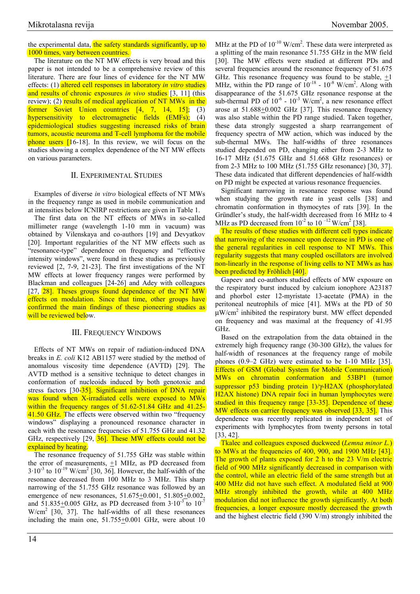the experimental data, the safety standards significantly, up to 1000 times, vary between countries.

The literature on the NT MW effects is very broad and this paper is not intended to be a comprehensive review of this literature. There are four lines of evidence for the NT MW effects: (1) altered cell responses in laboratory *in vitro* studies and results of chronic exposures *in vivo* studies [3, 11] (this review); (2) results of medical application of NT MWs in the former Soviet Union countries  $\begin{bmatrix} 4 & 7 & 14 & 15 \end{bmatrix}$ ; (3) hypersensitivity to electromagnetic fields (EMFs); (4) epidemiological studies suggesting increased risks of brain tumors, acoustic neuroma and T-cell lymphoma for the mobile phone users [16-18]. In this review, we will focus on the studies showing a complex dependence of the NT MW effects on various parameters.

#### II. EXPERIMENTAL STUDIES

Examples of diverse *in vitro* biological effects of NT MWs in the frequency range as used in mobile communication and at intensities below ICNIRP restrictions are given in Table 1.

The first data on the NT effects of MWs in so-called millimeter range (wavelength 1-10 mm in vacuum) was obtained by Vilenskaya and co-authors [19] and Devyatkov [20]. Important regularities of the NT MW effects such as "resonance-type" dependence on frequency and "effective intensity windows", were found in these studies as previously reviewed [2, 7-9, 21-23]. The first investigations of the NT MW effects at lower frequency ranges were performed by Blackman and colleagues [24-26] and Adey with colleagues [27, 28]. Theses groups found dependence of the NT MW effects on modulation. Since that time, other groups have confirmed the main findings of these pioneering studies as will be reviewed below.

#### III. FREQUENCY WINDOWS

Effects of NT MWs on repair of radiation-induced DNA breaks in *E. coli* K12 AB1157 were studied by the method of anomalous viscosity time dependence (AVTD) [29]. The AVTD method is a sensitive technique to detect changes in conformation of nucleoids induced by both genotoxic and stress factors [30-35]. Significant inhibition of DNA repair was found when X-irradiated cells were exposed to MWs within the frequency ranges of 51.62-51.84 GHz and 41.25-41.50 GHz. The effects were observed within two "frequency" windows" displaying a pronounced resonance character in each with the resonance frequencies of 51.755 GHz and 41.32 GHz, respectively [29, 36]. These MW effects could not be explained by heating.

The resonance frequency of 51.755 GHz was stable within the error of measurements,  $\pm 1$  MHz, as PD decreased from  $3.10^{-3}$  to  $10^{-19}$  W/cm<sup>2</sup> [30, 36]. However, the half-width of the resonance decreased from 100 MHz to 3 MHz. This sharp narrowing of the 51.755 GHz resonance was followed by an emergence of new resonances, 51.675+0.001, 51.805+0.002, and 51.835 $\pm$ 0.005 GHz, as PD decreased from 3·10<sup>-3</sup> to 10<sup>-7</sup>  $W/cm<sup>2</sup>$  [30, 37]. The half-widths of all these resonances including the main one,  $51.755 \pm 0.001$  GHz, were about 10

MHz at the PD of  $10^{-10}$  W/cm<sup>2</sup>. These data were interpreted as a splitting of the main resonance 51.755 GHz in the MW field [30]. The MW effects were studied at different PDs and several frequencies around the resonance frequency of 51.675 GHz. This resonance frequency was found to be stable,  $\pm 1$ MHz, within the PD range of  $10^{-18}$  -  $10^{-8}$  W/cm<sup>2</sup>. Along with disappearance of the 51.675 GHz resonance response at the sub-thermal PD of  $10^{-6}$  -  $10^{-3}$  W/cm<sup>2</sup>, a new resonance effect arose at  $51.688 \pm 0.002$  GHz [37]. This resonance frequency was also stable within the PD range studied. Taken together, these data strongly suggested a sharp rearrangement of frequency spectra of MW action, which was induced by the sub-thermal MWs. The half-widths of three resonances studied depended on PD, changing either from 2-3 MHz to 16-17 MHz (51.675 GHz and 51.668 GHz resonances) or from 2-3 MHz to 100 MHz (51.755 GHz resonance) [30, 37]. These data indicated that different dependencies of half-width on PD might be expected at various resonance frequencies.

Significant narrowing in resonance response was found when studying the growth rate in yeast cells [38] and chromatin conformation in thymocytes of rats [39]. In the Gründler's study, the half-width decreased from 16 MHz to 4 MHz as PD decreased from  $10^{-2}$  to  $10^{-12}$  W/cm<sup>2</sup> [38].

The results of these studies with different cell types indicate that narrowing of the resonance upon decrease in PD is one of the general regularities in cell response to NT MWs. This regularity suggests that many coupled oscillators are involved non-linearly in the response of living cells to NT MWs as has been predicted by Fröhlich [40].

Gapeev and co-authors studied effects of MW exposure on the respiratory burst induced by calcium ionophore A23187 and phorbol ester 12-myristate 13-acetate (PMA) in the peritoneal neutrophils of mice [41]. MWs at the PD of 50  $\mu$ W/cm<sup>2</sup> inhibited the respiratory burst. MW effect depended on frequency and was maximal at the frequency of 41.95 GHz.

Based on the extrapolation from the data obtained in the extremely high frequency range (30-300 GHz), the values for half-width of resonances at the frequency range of mobile phones (0.9–2 GHz) were estimated to be 1-10 MHz [35]. Effects of GSM (Global System for Mobile Communication) MWs on chromatin conformation and 53BP1 (tumor suppressor p53 binding protein 1)/γ-H2AX (phosphorylated H2AX histone) DNA repair foci in human lymphocytes were studied in this frequency range [33-35]. Dependence of these MW effects on carrier frequency was observed [33, 35]. This dependence was recently replicated in independent set of experiments with lymphocytes from twenty persons in total [33, 42].

Tkalec and colleagues exposed duckweed (*Lemna minor L.*) to MWs at the frequencies of 400, 900, and 1900 MHz [43]. The growth of plants exposed for 2 h to the 23 V/m electric field of 900 MHz significantly decreased in comparison with the control, while an electric field of the same strength but at 400 MHz did not have such effect. A modulated field at 900 MHz strongly inhibited the growth, while at 400 MHz modulation did not influence the growth significantly. At both frequencies, a longer exposure mostly decreased the growth and the highest electric field (390 V/m) strongly inhibited the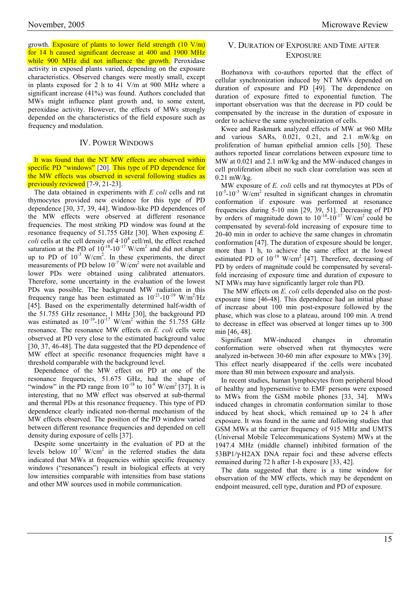growth. Exposure of plants to lower field strength  $(10 \text{ V/m})$ for 14 h caused significant decrease at 400 and 1900 MHz while 900 MHz did not influence the growth. Peroxidase activity in exposed plants varied, depending on the exposure characteristics. Observed changes were mostly small, except in plants exposed for 2 h to 41 V/m at 900 MHz where a significant increase (41%) was found. Authors concluded that MWs might influence plant growth and, to some extent, peroxidase activity. However, the effects of MWs strongly depended on the characteristics of the field exposure such as frequency and modulation.

#### IV. POWER WINDOWS

It was found that the NT MW effects are observed within specific PD "windows" [20]. This type of PD dependence for the MW effects was observed in several following studies as previously reviewed [7-9, 21-23].

The data obtained in experiments with *E coli* cells and rat thymocytes provided new evidence for this type of PD dependence [30, 37, 39, 44]. Window-like PD dependences of the MW effects were observed at different resonance frequencies. The most striking PD window was found at the resonance frequency of 51.755 GHz [30]. When exposing *E. coli* cells at the cell density of  $4.10^8$  cell/ml, the effect reached saturation at the PD of  $10^{-18}$ - $10^{-17}$  W/cm<sup>2</sup> and did not change up to PD of  $10^{-3}$  W/cm<sup>2</sup>. In these experiments, the direct measurements of PD below  $10^{-7}$  W/cm<sup>2</sup> were not available and lower PDs were obtained using calibrated attenuators. Therefore, some uncertainty in the evaluation of the lowest PDs was possible. The background MW radiation in this frequency range has been estimated as  $10^{-21}$ - $10^{-19}$  W/m<sup>2</sup>/Hz [45]. Based on the experimentally determined half-width of the 51.755 GHz resonance, 1 MHz [30], the background PD was estimated as  $10^{-19}$ - $10^{-17}$  W/cm<sup>2</sup> within the 51.755 GHz resonance. The resonance MW effects on *E. coli* cells were observed at PD very close to the estimated background value [30, 37, 46-48]. The data suggested that the PD dependence of MW effect at specific resonance frequencies might have a threshold comparable with the background level.

Dependence of the MW effect on PD at one of the resonance frequencies, 51.675 GHz, had the shape of "window" in the PD range from  $10^{-18}$  to  $10^{-8}$  W/cm<sup>2</sup> [37]. It is interesting, that no MW effect was observed at sub-thermal and thermal PDs at this resonance frequency. This type of PD dependence clearly indicated non-thermal mechanism of the MW effects observed. The position of the PD window varied between different resonance frequencies and depended on cell density during exposure of cells [37].

Despite some uncertainty in the evaluation of PD at the levels below  $10^{-7}$  W/cm<sup>2</sup> in the referred studies the data indicated that MWs at frequencies within specific frequency windows ("resonances") result in biological effects at very low intensities comparable with intensities from base stations and other MW sources used in mobile communication.

#### V. DURATION OF EXPOSURE AND TIME AFTER **EXPOSURE**

Bozhanova with co-authors reported that the effect of cellular synchronization induced by NT MWs depended on duration of exposure and PD [49]. The dependence on duration of exposure fitted to exponential function. The important observation was that the decrease in PD could be compensated by the increase in the duration of exposure in order to achieve the same synchronization of cells.

Kwee and Raskmark analyzed effects of MW at 960 MHz and various SARs, 0.021, 0.21, and 2.1 mW/kg on proliferation of human epithelial amnion cells [50]. These authors reported linear correlations between exposure time to MW at 0.021 and 2.1 mW/kg and the MW-induced changes in cell proliferation albeit no such clear correlation was seen at 0.21 mW/kg.

MW exposure of *E. coli* cells and rat thymocytes at PDs of  $10^{-5}$ -10<sup>-3</sup> W/cm<sup>2</sup> resulted in significant changes in chromatin conformation if exposure was performed at resonance frequencies during 5-10 min [29, 39, 51]. Decreasing of PD by orders of magnitude down to  $10^{-14}$ - $10^{-17}$  W/cm<sup>2</sup> could be compensated by several-fold increasing of exposure time to 20-40 min in order to achieve the same changes in chromatin conformation [47]. The duration of exposure should be longer, more than 1 h, to achieve the same effect at the lowest estimated PD of  $10^{-19}$  W/cm<sup>2</sup> [47]. Therefore, decreasing of PD by orders of magnitude could be compensated by severalfold increasing of exposure time and duration of exposure to NT MWs may have significantly larger role than PD.

The MW effects on *E. coli* cells depended also on the postexposure time [46-48]. This dependence had an initial phase of increase about 100 min post-exposure followed by the phase, which was close to a plateau, around 100 min. A trend to decrease in effect was observed at longer times up to 300 min [46, 48].

Significant MW-induced changes in chromatin conformation were observed when rat thymocytes were analyzed in-between 30-60 min after exposure to MWs [39]. This effect nearly disappeared if the cells were incubated more than 80 min between exposure and analysis.

In recent studies, human lymphocytes from peripheral blood of healthy and hypersensitive to EMF persons were exposed to MWs from the GSM mobile phones [33, 34]. MWs induced changes in chromatin conformation similar to those induced by heat shock, which remained up to 24 h after exposure. It was found in the same and following studies that GSM MWs at the carrier frequency of 915 MHz and UMTS (Universal Mobile Telecommunications System) MWs at the 1947.4 MHz (middle channel) inhibited formation of the 53BP1/γ-H2AX DNA repair foci and these adverse effects remained during 72 h after 1-h exposure [33, 42].

The data suggested that there is a time window for observation of the MW effects, which may be dependent on endpoint measured, cell type, duration and PD of exposure.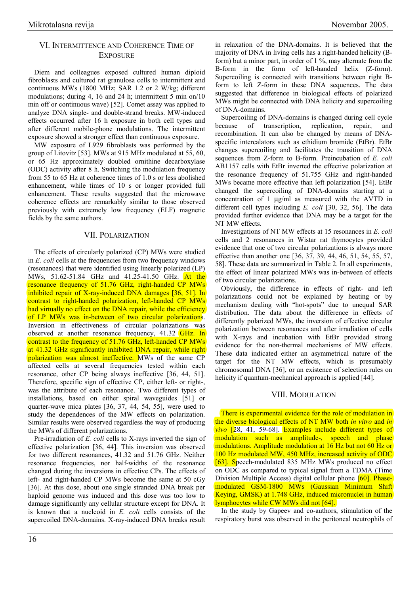## VI. INTERMITTENCE AND COHERENCE TIME OF EXPOSURE

Diem and colleagues exposed cultured human diploid fibroblasts and cultured rat granulosa cells to intermittent and continuous MWs (1800 MHz; SAR 1.2 or 2 W/kg; different modulations; during 4, 16 and 24 h; intermittent 5 min on/10 min off or continuous wave) [52]. Comet assay was applied to analyze DNA single- and double-strand breaks. MW-induced effects occurred after 16 h exposure in both cell types and after different mobile-phone modulations. The intermittent exposure showed a stronger effect than continuous exposure.

MW exposure of L929 fibroblasts was performed by the group of Litovitz [53]. MWs at 915 MHz modulated at 55, 60, or 65 Hz approximately doubled ornithine decarboxylase (ODC) activity after 8 h. Switching the modulation frequency from 55 to 65 Hz at coherence times of 1.0 s or less abolished enhancement, while times of 10 s or longer provided full enhancement. These results suggested that the microwave coherence effects are remarkably similar to those observed previously with extremely low frequency (ELF) magnetic fields by the same authors.

## VII. POLARIZATION

The effects of circularly polarized (CP) MWs were studied in *E. coli* cells at the frequencies from two frequency windows (resonances) that were identified using linearly polarized (LP) MWs, 51.62-51.84 GHz and 41.25-41.50 GHz. At the resonance frequency of 51.76 GHz, right-handed CP MWs inhibited repair of X-ray-induced DNA damages [36, 51]. In contrast to right-handed polarization, left-handed CP MWs had virtually no effect on the DNA repair, while the efficiency of LP MWs was in-between of two circular polarizations. Inversion in effectiveness of circular polarizations was observed at another resonance frequency, 41.32 GHz. In contrast to the frequency of 51.76 GHz, left-handed CP MWs at 41.32 GHz significantly inhibited DNA repair, while right polarization was almost ineffective. MWs of the same CP affected cells at several frequencies tested within each resonance, other CP being always ineffective [36, 44, 51]. Therefore, specific sign of effective CP, either left- or right-, was the attribute of each resonance. Two different types of installations, based on either spiral waveguides [51] or quarter-wave mica plates [36, 37, 44, 54, 55], were used to study the dependences of the MW effects on polarization. Similar results were observed regardless the way of producing the MWs of different polarizations.

Pre-irradiation of *E. coli* cells to X-rays inverted the sign of effective polarization [36, 44]. This inversion was observed for two different resonances, 41.32 and 51.76 GHz. Neither resonance frequencies, nor half-widths of the resonance changed during the inversions in effective CPs. The effects of left- and right-handed CP MWs become the same at 50 cGy [36]. At this dose, about one single stranded DNA break per haploid genome was induced and this dose was too low to damage significantly any cellular structure except for DNA. It is known that a nucleoid in *E. coli* cells consists of the supercoiled DNA-domains. X-ray-induced DNA breaks result

in relaxation of the DNA-domains. It is believed that the majority of DNA in living cells has a right-handed helicity (Bform) but a minor part, in order of 1 %, may alternate from the B-form in the form of left-handed helix (Z-form). Supercoiling is connected with transitions between right Bform to left Z-form in these DNA sequences. The data suggested that difference in biological effects of polarized MWs might be connected with DNA helicity and supercoiling of DNA-domains.

Supercoiling of DNA-domains is changed during cell cycle because of transcription, replication, repair, and recombination. It can also be changed by means of DNAspecific intercalators such as ethidium bromide (EtBr). EtBr changes supercoiling and facilitates the transition of DNA sequences from Z-form to B-form. Preincubation of *E. coli* AB1157 cells with EtBr inverted the effective polarization at the resonance frequency of 51.755 GHz and right-handed MWs became more effective than left polarization [54]. EtBr changed the supercoiling of DNA-domains starting at a concentration of 1 µg/ml as measured with the AVTD in different cell types including *E. coli* [30, 32, 56]. The data provided further evidence that DNA may be a target for the NT MW effects.

Investigations of NT MW effects at 15 resonances in *E. coli* cells and 2 resonances in Wistar rat thymocytes provided evidence that one of two circular polarizations is always more effective than another one [36, 37, 39, 44, 46, 51, 54, 55, 57, 58]. These data are summarized in Table 2. In all experiments, the effect of linear polarized MWs was in-between of effects of two circular polarizations.

Obviously, the difference in effects of right- and left polarizations could not be explained by heating or by mechanism dealing with "hot-spots" due to unequal SAR distribution. The data about the difference in effects of differently polarized MWs, the inversion of effective circular polarization between resonances and after irradiation of cells with X-rays and incubation with EtBr provided strong evidence for the non-thermal mechanisms of MW effects. These data indicated either an asymmetrical nature of the target for the NT MW effects, which is presumably chromosomal DNA [36], or an existence of selection rules on helicity if quantum-mechanical approach is applied [44].

#### VIII. MODULATION

There is experimental evidence for the role of modulation in the diverse biological effects of NT MW both *in vitro* and *in vivo* [28, 41, 59-68]. Examples include different types of modulation such as amplitude-, speech and phase modulations. Amplitude modulation at 16 Hz but not 60 Hz or 100 Hz modulated MW, 450 MHz, increased activity of ODC [63]. Speech-modulated 835 MHz MWs produced no effect on ODC as compared to typical signal from a TDMA (Time Division Multiple Access) digital cellular phone [60]. Phasemodulated GSM-1800 MWs (Gaussian Minimum Shift Keying, GMSK) at 1.748 GHz, induced micronuclei in human lymphocytes while CW MWs did not [64].

In the study by Gapeev and co-authors, stimulation of the respiratory burst was observed in the peritoneal neutrophils of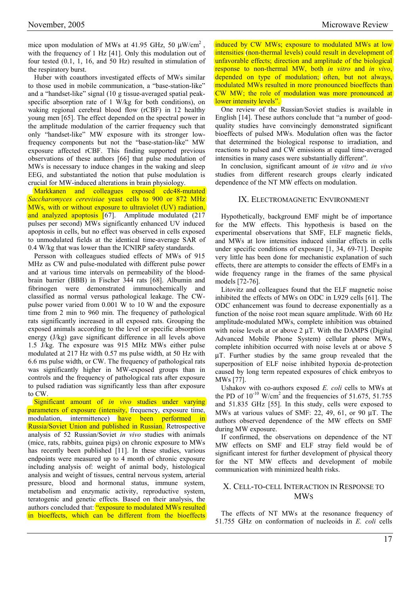mice upon modulation of MWs at 41.95 GHz, 50  $\mu$ W/cm<sup>2</sup>, with the frequency of 1 Hz [41]. Only this modulation out of four tested (0.1, 1, 16, and 50 Hz) resulted in stimulation of the respiratory burst.

Huber with coauthors investigated effects of MWs similar to those used in mobile communication, a "base-station-like" and a "handset-like" signal (10 g tissue-averaged spatial peakspecific absorption rate of 1 W/kg for both conditions), on waking regional cerebral blood flow (rCBF) in 12 healthy young men [65]. The effect depended on the spectral power in the amplitude modulation of the carrier frequency such that only "handset-like" MW exposure with its stronger lowfrequency components but not the "base-station-like" MW exposure affected rCBF. This finding supported previous observations of these authors [66] that pulse modulation of MWs is necessary to induce changes in the waking and sleep EEG, and substantiated the notion that pulse modulation is crucial for MW-induced alterations in brain physiology.

Markkanen and colleagues exposed cdc48-mutated *Saccharomyces cerevisiae* yeast cells to 900 or 872 MHz MWs, with or without exposure to ultraviolet (UV) radiation, and analyzed apoptosis [67]. Amplitude modulated (217) pulses per second) MWs significantly enhanced UV induced apoptosis in cells, but no effect was observed in cells exposed to unmodulated fields at the identical time-average SAR of 0.4 W/kg that was lower than the ICNIRP safety standards.

Persson with colleagues studied effects of MWs of 915 MHz as CW and pulse-modulated with different pulse power and at various time intervals on permeability of the bloodbrain barrier (BBB) in Fischer 344 rats [68]. Albumin and fibrinogen were demonstrated immunochemically and classified as normal versus pathological leakage. The CWpulse power varied from 0.001 W to 10 W and the exposure time from 2 min to 960 min. The frequency of pathological rats significantly increased in all exposed rats. Grouping the exposed animals according to the level or specific absorption energy (J/kg) gave significant difference in all levels above 1.5 J/kg. The exposure was 915 MHz MWs either pulse modulated at 217 Hz with 0.57 ms pulse width, at 50 Hz with 6.6 ms pulse width, or CW. The frequency of pathological rats was significantly higher in MW-exposed groups than in controls and the frequency of pathological rats after exposure to pulsed radiation was significantly less than after exposure to CW.

Significant amount of *in vivo* studies under varying parameters of exposure (intensity, frequency, exposure time, modulation, intermittence) have been performed in Russia/Soviet Union and published in Russian. Retrospective analysis of 52 Russian/Soviet *in vivo* studies with animals (mice, rats, rabbits, guinea pigs) on chronic exposure to MWs has recently been published [11]. In these studies, various endpoints were measured up to 4 month of chronic exposure including analysis of: weight of animal body, histological analysis and weight of tissues, central nervous system, arterial pressure, blood and hormonal status, immune system, metabolism and enzymatic activity, reproductive system, teratogenic and genetic effects. Based on their analysis, the authors concluded that: "exposure to modulated MWs resulted in bioeffects, which can be different from the bioeffects induced by CW MWs; exposure to modulated MWs at low intensities (non-thermal levels) could result in development of unfavorable effects; direction and amplitude of the biological response to non-thermal MW, both *in vitro* and *in vivo*, depended on type of modulation; often, but not always, modulated MWs resulted in more pronounced bioeffects than CW MW; the role of modulation was more pronounced at lower intensity levels".

One review of the Russian/Soviet studies is available in English [14]. These authors conclude that "a number of goodquality studies have convincingly demonstrated significant bioeffects of pulsed MWs. Modulation often was the factor that determined the biological response to irradiation, and reactions to pulsed and CW emissions at equal time-averaged intensities in many cases were substantially different".

In conclusion, significant amount of *in vitro* and *in vivo* studies from different research groups clearly indicated dependence of the NT MW effects on modulation.

#### IX. ELECTROMAGNETIC ENVIRONMENT

Hypothetically, background EMF might be of importance for the MW effects. This hypothesis is based on the experimental observations that SMF, ELF magnetic fields, and MWs at low intensities induced similar effects in cells under specific conditions of exposure [1, 34, 69-71]. Despite very little has been done for mechanistic explanation of such effects, there are attempts to consider the effects of EMFs in a wide frequency range in the frames of the same physical models [72-76].

Litovitz and colleagues found that the ELF magnetic noise inhibited the effects of MWs on ODC in L929 cells [61]. The ODC enhancement was found to decrease exponentially as a function of the noise root mean square amplitude. With 60 Hz amplitude-modulated MWs, complete inhibition was obtained with noise levels at or above  $2 \mu$ T. With the DAMPS (Digital Advanced Mobile Phone System) cellular phone MWs, complete inhibition occurred with noise levels at or above 5 µT. Further studies by the same group revealed that the superposition of ELF noise inhibited hypoxia de-protection caused by long term repeated exposures of chick embryos to MWs [77].

Ushakov with co-authors exposed *E. coli* cells to MWs at the PD of  $10^{-10}$  W/cm<sup>2</sup> and the frequencies of 51.675, 51.755 and 51.835 GHz [55]. In this study, cells were exposed to MWs at various values of SMF: 22, 49, 61, or 90 µT. The authors observed dependence of the MW effects on SMF during MW exposure.

If confirmed, the observations on dependence of the NT MW effects on SMF and ELF stray field would be of significant interest for further development of physical theory for the NT MW effects and development of mobile communication with minimized health risks.

#### X. CELL-TO-CELL INTERACTION IN RESPONSE TO MWS

The effects of NT MWs at the resonance frequency of 51.755 GHz on conformation of nucleoids in *E. coli* cells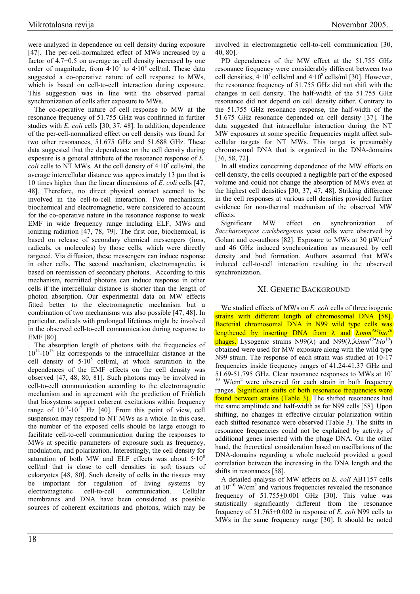were analyzed in dependence on cell density during exposure [47]. The per-cell-normalized effect of MWs increased by a factor of 4.7+0.5 on average as cell density increased by one order of magnitude, from  $4.10^7$  to  $4.10^8$  cell/ml. These data suggested a co-operative nature of cell response to MWs, which is based on cell-to-cell interaction during exposure. This suggestion was in line with the observed partial synchronization of cells after exposure to MWs.

The co-operative nature of cell response to MW at the resonance frequency of 51.755 GHz was confirmed in further studies with *E. coli* cells [30, 37, 48]. In addition, dependence of the per-cell-normalized effect on cell density was found for two other resonances, 51.675 GHz and 51.688 GHz. These data suggested that the dependence on the cell density during exposure is a general attribute of the resonance response of *E. coli* cells to NT MWs. At the cell density of  $4 \cdot 10^8$  cells/ml, the average intercellular distance was approximately 13 µm that is 10 times higher than the linear dimensions of *E. coli* cells [47, 48]. Therefore, no direct physical contact seemed to be involved in the cell-to-cell interaction. Two mechanisms, biochemical and electromagnetic, were considered to account for the co-operative nature in the resonance response to weak EMF in wide frequency range including ELF, MWs and ionizing radiation [47, 78, 79]. The first one, biochemical, is based on release of secondary chemical messengers (ions, radicals, or molecules) by those cells, which were directly targeted. Via diffusion, these messengers can induce response in other cells. The second mechanism, electromagnetic, is based on reemission of secondary photons. According to this mechanism, reemitted photons can induce response in other cells if the intercellular distance is shorter than the length of photon absorption. Our experimental data on MW effects fitted better to the electromagnetic mechanism but a combination of two mechanisms was also possible [47, 48]. In particular, radicals with prolonged lifetimes might be involved in the observed cell-to-cell communication during response to EMF [80].

The absorption length of photons with the frequencies of  $10^{12}$ -10<sup>13</sup> Hz corresponds to the intracellular distance at the cell density of  $5.\overline{10}^8$  cell/ml, at which saturation in the dependences of the EMF effects on the cell density was observed [47, 48, 80, 81]. Such photons may be involved in cell-to-cell communication according to the electromagnetic mechanism and in agreement with the prediction of Fröhlich that biosystems support coherent excitations within frequency range of  $10^{11}$ -10<sup>12</sup> Hz [40]. From this point of view, cell suspension may respond to NT MWs as a whole. In this case, the number of the exposed cells should be large enough to facilitate cell-to-cell communication during the responses to MWs at specific parameters of exposure such as frequency, modulation, and polarization. Interestingly, the cell density for saturation of both MW and ELF effects was about  $5.10^8$ cell/ml that is close to cell densities in soft tissues of eukaryotes [48, 80]. Such density of cells in the tissues may be important for regulation of living systems by electromagnetic cell-to-cell communication. Cellular membranes and DNA have been considered as possible sources of coherent excitations and photons, which may be

involved in electromagnetic cell-to-cell communication [30, 40, 80].

PD dependences of the MW effect at the 51.755 GHz resonance frequency were considerably different between two cell densities,  $4.10^7$  cells/ml and  $4.10^8$  cells/ml [30]. However, the resonance frequency of 51.755 GHz did not shift with the changes in cell density. The half-width of the 51.755 GHz resonance did not depend on cell density either. Contrary to the 51.755 GHz resonance response, the half-width of the 51.675 GHz resonance depended on cell density [37]. The data suggested that intracellular interaction during the NT MW exposures at some specific frequencies might affect subcellular targets for NT MWs. This target is presumably chromosomal DNA that is organized in the DNA-domains [36, 58, 72].

In all studies concerning dependence of the MW effects on cell density, the cells occupied a negligible part of the exposed volume and could not change the absorption of MWs even at the highest cell densities [30, 37, 47, 48]. Striking difference in the cell responses at various cell densities provided further evidence for non-thermal mechanism of the observed MW effects.

Significant MW effect on synchronization of *Saccharomyces carlsbergensis* yeast cells were observed by Golant and co-authors [82]. Exposure to MWs at 30  $\mu$ W/cm<sup>2</sup> and 46 GHz induced synchronization as measured by cell density and bud formation. Authors assumed that MWs induced cell-to-cell interaction resulting in the observed synchronization.

## XI. GENETIC BACKGROUND

We studied effects of MWs on *E. coli* cells of three isogenic strains with different length of chromosomal DNA [58]. Bacterial chromosomal DNA in N99 wild type cells was lengthened by inserting DNA from λ and λ*imm434bio10* phages. Lysogenic strains N99(λ) and N99(λ,λ*imm434bio10*) obtained were used for MW exposure along with the wild type N99 strain. The response of each strain was studied at 10-17 frequencies inside frequency ranges of 41.24-41.37 GHz and 51.69-51.795 GHz. Clear resonance responses to MWs at 10-  $10$  W/cm<sup>2</sup> were observed for each strain in both frequency ranges. Significant shifts of both resonance frequencies were found between strains (Table 3). The shifted resonances had the same amplitude and half-width as for N99 cells [58]. Upon shifting, no changes in effective circular polarization within each shifted resonance were observed (Table 3). The shifts in resonance frequencies could not be explained by activity of additional genes inserted with the phage DNA. On the other hand, the theoretical consideration based on oscillations of the DNA-domains regarding a whole nucleoid provided a good correlation between the increasing in the DNA length and the shifts in resonances [58].

A detailed analysis of MW effects on *E. coli* AB1157 cells at  $10^{-10}$  W/cm<sup>2</sup> and various frequencies revealed the resonance frequency of  $51.755 \pm 0.001$  GHz [30]. This value was statistically significantly different from the resonance frequency of 51.765+0.002 in response of *E. coli* N99 cells to MWs in the same frequency range [30]. It should be noted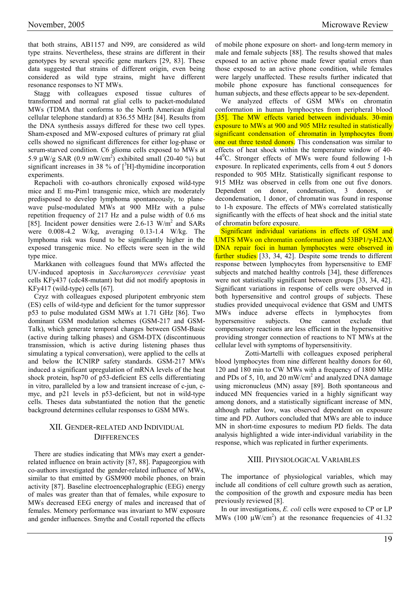that both strains, AB1157 and N99, are considered as wild type strains. Nevertheless, these strains are different in their genotypes by several specific gene markers [29, 83]. These data suggested that strains of different origin, even being considered as wild type strains, might have different resonance responses to NT MWs.

Stagg with colleagues exposed tissue cultures of transformed and normal rat glial cells to packet-modulated MWs (TDMA that conforms to the North American digital cellular telephone standard) at 836.55 MHz [84]. Results from the DNA synthesis assays differed for these two cell types. Sham-exposed and MW-exposed cultures of primary rat glial cells showed no significant differences for either log-phase or serum-starved condition. C6 glioma cells exposed to MWs at 5.9  $\mu$ W/g SAR (0.9 mW/cm<sup>2</sup>) exhibited small (20-40 %) but significant increases in 38 % of  $[^3H]$ -thymidine incorporation experiments.

Repacholi with co-authors chronically exposed wild-type mice and E mu-Pim1 transgenic mice, which are moderately predisposed to develop lymphoma spontaneously, to planewave pulse-modulated MWs at 900 MHz with a pulse repetition frequency of 217 Hz and a pulse width of 0.6 ms [85]. Incident power densities were  $2.6$ -13 W/m<sup>2</sup> and SARs were 0.008-4.2 W/kg, averaging 0.13-1.4 W/kg. The lymphoma risk was found to be significantly higher in the exposed transgenic mice. No effects were seen in the wild type mice.

Markkanen with colleagues found that MWs affected the UV-induced apoptosis in *Saccharomyces cerevisiae* yeast cells KFy437 (cdc48-mutant) but did not modify apoptosis in KFy417 (wild-type) cells [67].

Czyz with colleagues exposed pluripotent embryonic stem (ES) cells of wild-type and deficient for the tumor suppressor p53 to pulse modulated GSM MWs at 1.71 GHz [86]. Two dominant GSM modulation schemes (GSM-217 and GSM-Talk), which generate temporal changes between GSM-Basic (active during talking phases) and GSM-DTX (discontinuous transmission, which is active during listening phases thus simulating a typical conversation), were applied to the cells at and below the ICNIRP safety standards. GSM-217 MWs induced a significant upregulation of mRNA levels of the heat shock protein, hsp70 of p53-deficient ES cells differentiating in vitro, paralleled by a low and transient increase of c-jun, cmyc, and p21 levels in p53-deficient, but not in wild-type cells. Theses data substantiated the notion that the genetic background determines cellular responses to GSM MWs.

## XII. GENDER-RELATED AND INDIVIDUAL **DIFFERENCES**

There are studies indicating that MWs may exert a genderrelated influence on brain activity [87, 88]. Papageorgiou with co-authors investigated the gender-related influence of MWs, similar to that emitted by GSM900 mobile phones, on brain activity [87]. Baseline electroencephalographic (EEG) energy of males was greater than that of females, while exposure to MWs decreased EEG energy of males and increased that of females. Memory performance was invariant to MW exposure and gender influences. Smythe and Costall reported the effects

of mobile phone exposure on short- and long-term memory in male and female subjects [88]. The results showed that males exposed to an active phone made fewer spatial errors than those exposed to an active phone condition, while females were largely unaffected. These results further indicated that mobile phone exposure has functional consequences for human subjects, and these effects appear to be sex-dependent.

We analyzed effects of GSM MWs on chromatin conformation in human lymphocytes from peripheral blood [35]. The MW effects varied between individuals. 30-min] exposure to MWs at 900 and 905 MHz resulted in statistically significant condensation of chromatin in lymphocytes from one out three tested donors. This condensation was similar to effects of heat shock within the temperature window of 40- 44<sup>0</sup>C. Stronger effects of MWs were found following 1-h exposure. In replicated experiments, cells from 4 out 5 donors responded to 905 MHz. Statistically significant response to 915 MHz was observed in cells from one out five donors. Dependent on donor, condensation, 3 donors, or decondensation, 1 donor, of chromatin was found in response to 1-h exposure. The effects of MWs correlated statistically significantly with the effects of heat shock and the initial state of chromatin before exposure.

Significant individual variations in effects of GSM and UMTS MWs on chromatin conformation and 53BP1/γ-H2AX DNA repair foci in human lymphocytes were observed in further studies [33, 34, 42]. Despite some trends to different response between lymphocytes from hypersensitive to EMF subjects and matched healthy controls [34], these differences were not statistically significant between groups [33, 34, 42]. Significant variations in response of cells were observed in both hypersensitive and control groups of subjects. These studies provided unequivocal evidence that GSM and UMTS MWs induce adverse effects in lymphocytes from hypersensitive subjects. One cannot exclude that compensatory reactions are less efficient in the hypersensitive providing stronger connection of reactions to NT MWs at the cellular level with symptoms of hypersensitivity.

Zotti-Martelli with colleagues exposed peripheral blood lymphocytes from nine different healthy donors for 60, 120 and 180 min to CW MWs with a frequency of 1800 MHz and PDs of 5, 10, and 20 mW/cm<sup>2</sup> and analyzed DNA damage using micronucleus (MN) assay [89]. Both spontaneous and induced MN frequencies varied in a highly significant way among donors, and a statistically significant increase of MN, although rather low, was observed dependent on exposure time and PD. Authors concluded that MWs are able to induce MN in short-time exposures to medium PD fields. The data analysis highlighted a wide inter-individual variability in the response, which was replicated in further experiments.

## XIII. PHYSIOLOGICAL VARIABLES

The importance of physiological variables, which may include all conditions of cell culture growth such as aeration, the composition of the growth and exposure media has been previously reviewed [8].

In our investigations, *E. coli* cells were exposed to CP or LP MWs (100  $\mu$ W/cm<sup>2</sup>) at the resonance frequencies of 41.32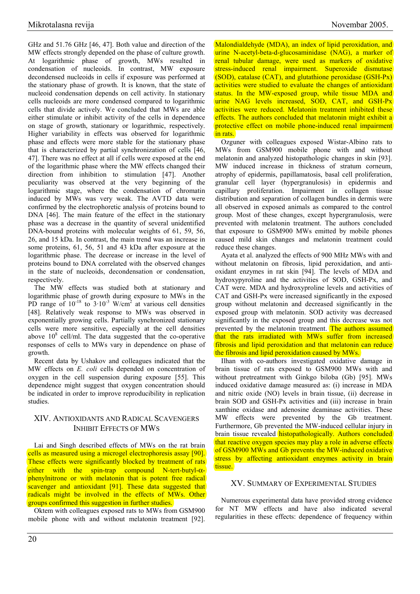GHz and 51.76 GHz [46, 47]. Both value and direction of the MW effects strongly depended on the phase of culture growth. At logarithmic phase of growth, MWs resulted in condensation of nucleoids. In contrast, MW exposure decondensed nucleoids in cells if exposure was performed at the stationary phase of growth. It is known, that the state of nucleoid condensation depends on cell activity. In stationary cells nucleoids are more condensed compared to logarithmic cells that divide actively. We concluded that MWs are able either stimulate or inhibit activity of the cells in dependence on stage of growth, stationary or logarithmic, respectively. Higher variability in effects was observed for logarithmic phase and effects were more stable for the stationary phase that is characterized by partial synchronization of cells [46, 47]. There was no effect at all if cells were exposed at the end of the logarithmic phase where the MW effects changed their direction from inhibition to stimulation [47]. Another peculiarity was observed at the very beginning of the logarithmic stage, where the condensation of chromatin induced by MWs was very weak. The AVTD data were confirmed by the electrophoretic analysis of proteins bound to DNA [46]. The main feature of the effect in the stationary phase was a decrease in the quantity of several unidentified DNA-bound proteins with molecular weights of 61, 59, 56, 26, and 15 kDa. In contrast, the main trend was an increase in some proteins, 61, 56, 51 and 43 kDa after exposure at the logarithmic phase. The decrease or increase in the level of proteins bound to DNA correlated with the observed changes in the state of nucleoids, decondensation or condensation, respectively.

The MW effects was studied both at stationary and logarithmic phase of growth during exposure to MWs in the PD range of  $10^{-18}$  to  $3.10^{-3}$  W/cm<sup>2</sup> at various cell densities [48]. Relatively weak response to MWs was observed in exponentially growing cells. Partially synchronized stationary cells were more sensitive, especially at the cell densities above  $10^8$  cell/ml. The data suggested that the co-operative responses of cells to MWs vary in dependence on phase of growth.

Recent data by Ushakov and colleagues indicated that the MW effects on *E. coli* cells depended on concentration of oxygen in the cell suspension during exposure [55]. This dependence might suggest that oxygen concentration should be indicated in order to improve reproducibility in replication studies.

## XIV. ANTIOXIDANTS AND RADICAL SCAVENGERS INHIBIT EFFECTS OF MWS

Lai and Singh described effects of MWs on the rat brain cells as measured using a microgel electrophoresis assay [90]. These effects were significantly blocked by treatment of rats either with the spin-trap compound N-tert-butyl- $\alpha$ phenylnitrone or with melatonin that is potent free radical scavenger and antioxidant [91]. These data suggested that radicals might be involved in the effects of MWs. Other groups confirmed this suggestion in further studies.

Oktem with colleagues exposed rats to MWs from GSM900 mobile phone with and without melatonin treatment [92]. Malondialdehyde (MDA), an index of lipid peroxidation, and urine N-acetyl-beta-d-glucosaminidase (NAG), a marker of renal tubular damage, were used as markers of oxidative stress-induced renal impairment. Superoxide dismutase (SOD), catalase (CAT), and glutathione peroxidase (GSH-Px) activities were studied to evaluate the changes of antioxidant status. In the MW-exposed group, while tissue MDA and urine NAG levels increased, SOD, CAT, and GSH-Px activities were reduced. Melatonin treatment inhibited these effects. The authors concluded that melatonin might exhibit a protective effect on mobile phone-induced renal impairment in rats.

Ozguner with colleagues exposed Wistar-Albino rats to MWs from GSM900 mobile phone with and without melatonin and analyzed histopathologic changes in skin [93]. MW induced increase in thickness of stratum corneum, atrophy of epidermis, papillamatosis, basal cell proliferation, granular cell layer (hypergranulosis) in epidermis and capillary proliferation. Impairment in collagen tissue distribution and separation of collagen bundles in dermis were all observed in exposed animals as compared to the control group. Most of these changes, except hypergranulosis, were prevented with melatonin treatment. The authors concluded that exposure to GSM900 MWs emitted by mobile phones caused mild skin changes and melatonin treatment could reduce these changes.

Ayata et al. analyzed the effects of 900 MHz MWs with and without melatonin on fibrosis, lipid peroxidation, and antioxidant enzymes in rat skin [94]. The levels of MDA and hydroxypyroline and the activities of SOD, GSH-Px, and CAT were. MDA and hydroxyproline levels and activities of CAT and GSH-Px were increased significantly in the exposed group without melatonin and decreased significantly in the exposed group with melatonin. SOD activity was decreased significantly in the exposed group and this decrease was not prevented by the melatonin treatment. The authors assumed that the rats irradiated with MWs suffer from increased fibrosis and lipid peroxidation and that melatonin can reduce the fibrosis and lipid peroxidation caused by MWs.

Ilhan with co-authors investigated oxidative damage in brain tissue of rats exposed to GSM900 MWs with and without pretreatment with Ginkgo biloba (Gb) [95]. MWs induced oxidative damage measured as: (i) increase in MDA and nitric oxide (NO) levels in brain tissue, (ii) decrease in brain SOD and GSH-Px activities and (iii) increase in brain xanthine oxidase and adenosine deaminase activities. These MW effects were prevented by the Gb treatment. Furthermore, Gb prevented the MW-induced cellular injury in brain tissue revealed **histopathologically**. Authors concluded that reactive oxygen species may play a role in adverse effects of GSM900 MWs and Gb prevents the MW-induced oxidative stress by affecting antioxidant enzymes activity in brain tissue.

## XV. SUMMARY OF EXPERIMENTAL STUDIES

Numerous experimental data have provided strong evidence for NT MW effects and have also indicated several regularities in these effects: dependence of frequency within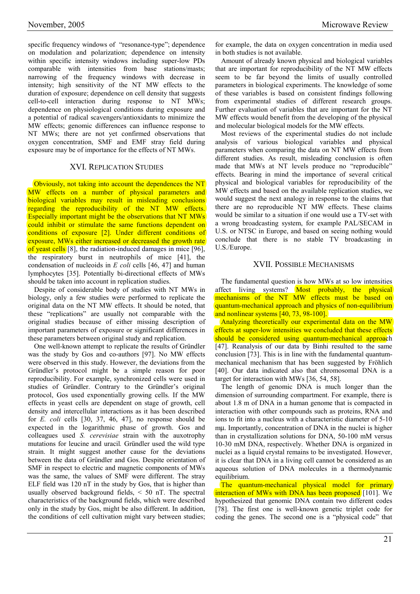specific frequency windows of "resonance-type"; dependence on modulation and polarization; dependence on intensity within specific intensity windows including super-low PDs comparable with intensities from base stations/masts; narrowing of the frequency windows with decrease in intensity; high sensitivity of the NT MW effects to the duration of exposure; dependence on cell density that suggests cell-to-cell interaction during response to NT MWs; dependence on physiological conditions during exposure and a potential of radical scavengers/antioxidants to minimize the MW effects; genomic differences can influence response to NT MWs; there are not yet confirmed observations that oxygen concentration, SMF and EMF stray field during exposure may be of importance for the effects of NT MWs.

#### XVI. REPLICATION STUDIES

Obviously, not taking into account the dependences the NT MW effects on a number of physical parameters and biological variables may result in misleading conclusions regarding the reproducibility of the NT MW effects. Especially important might be the observations that NT MWs could inhibit or stimulate the same functions dependent on conditions of exposure [2]. Under different conditions of exposure, MWs either increased or decreased the growth rate of yeast cells [8], the radiation-induced damages in mice [96], the respiratory burst in neutrophils of mice [41], the condensation of nucleoids in *E coli* cells [46, 47] and human lymphocytes [35]. Potentially bi-directional effects of MWs should be taken into account in replication studies.

Despite of considerable body of studies with NT MWs in biology, only a few studies were performed to replicate the original data on the NT MW effects. It should be noted, that these "replications" are usually not comparable with the original studies because of either missing description of important parameters of exposure or significant differences in these parameters between original study and replication.

One well-known attempt to replicate the results of Gründler was the study by Gos and co-authors [97]. No MW effects were observed in this study. However, the deviations from the Gründler's protocol might be a simple reason for poor reproducibility. For example, synchronized cells were used in studies of Gründler. Contrary to the Gründler's original protocol, Gos used exponentially growing cells. If the MW effects in yeast cells are dependent on stage of growth, cell density and intercellular interactions as it has been described for *E. coli* cells [30, 37, 46, 47], no response should be expected in the logarithmic phase of growth. Gos and colleagues used *S. cerevisiae* strain with the auxotrophy mutations for leucine and uracil*.* Gründler used the wild type strain. It might suggest another cause for the deviations between the data of Gründler and Gos. Despite orientation of SMF in respect to electric and magnetic components of MWs was the same, the values of SMF were different. The stray ELF field was 120 nT in the study by Gos, that is higher than usually observed background fields, < 50 nT. The spectral characteristics of the background fields, which were described only in the study by Gos, might be also different. In addition, the conditions of cell cultivation might vary between studies;

for example, the data on oxygen concentration in media used in both studies is not available.

Amount of already known physical and biological variables that are important for reproducibility of the NT MW effects seem to be far beyond the limits of usually controlled parameters in biological experiments. The knowledge of some of these variables is based on consistent findings following from experimental studies of different research groups. Further evaluation of variables that are important for the NT MW effects would benefit from the developing of the physical and molecular biological models for the MW effects.

Most reviews of the experimental studies do not include analysis of various biological variables and physical parameters when comparing the data on NT MW effects from different studies. As result, misleading conclusion is often made that MWs at NT levels produce no "reproducible" effects. Bearing in mind the importance of several critical physical and biological variables for reproducibility of the MW effects and based on the available replication studies, we would suggest the next analogy in response to the claims that there are no reproducible NT MW effects. These claims would be similar to a situation if one would use a TV-set with a wrong broadcasting system, for example PAL/SECAM in U.S. or NTSC in Europe, and based on seeing nothing would conclude that there is no stable TV broadcasting in U.S./Europe.

#### XVII. POSSIBLE MECHANISMS

The fundamental question is how MWs at so low intensities affect living systems? Most probably, the physical mechanisms of the NT MW effects must be based on quantum-mechanical approach and physics of non-equilibrium and nonlinear systems [40, 73, 98-100].

Analyzing theoretically our experimental data on the MW effects at super-low intensities we concluded that these effects should be considered using quantum-mechanical approach [47]. Reanalysis of our data by Binhi resulted to the same conclusion [73]. This is in line with the fundamental quantummechanical mechanism that has been suggested by Fröhlich [40]. Our data indicated also that chromosomal DNA is a target for interaction with MWs [36, 54, 58].

The length of genomic DNA is much longer than the dimension of surrounding compartment. For example, there is about 1.8 m of DNA in a human genome that is compacted in interaction with other compounds such as proteins, RNA and ions to fit into a nucleus with a characteristic diameter of 5-10 mµ. Importantly, concentration of DNA in the nuclei is higher than in crystallization solutions for DNA, 50-100 mM versus 10-30 mM DNA, respectively. Whether DNA is organized in nuclei as a liquid crystal remains to be investigated. However, it is clear that DNA in a living cell cannot be considered as an aqueous solution of DNA molecules in a thermodynamic equilibrium.

The quantum-mechanical physical model for primary interaction of MWs with DNA has been proposed [101]. We hypothesized that genomic DNA contain two different codes [78]. The first one is well-known genetic triplet code for coding the genes. The second one is a "physical code" that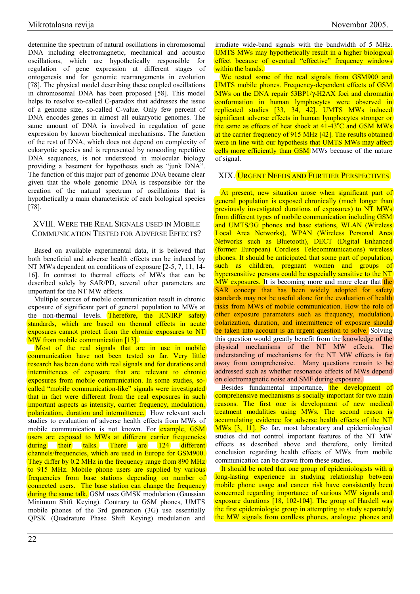determine the spectrum of natural oscillations in chromosomal DNA including electromagnetic, mechanical and acoustic oscillations, which are hypothetically responsible for regulation of gene expression at different stages of ontogenesis and for genomic rearrangements in evolution [78]. The physical model describing these coupled oscillations in chromosomal DNA has been proposed [58]. This model helps to resolve so-called C-paradox that addresses the issue of a genome size, so-called C-value. Only few percent of DNA encodes genes in almost all eukaryotic genomes. The same amount of DNA is involved in regulation of gene expression by known biochemical mechanisms. The function of the rest of DNA, which does not depend on complexity of eukaryotic species and is represented by noncoding repetitive DNA sequences, is not understood in molecular biology providing a basement for hypotheses such as "junk DNA". The function of this major part of genomic DNA became clear given that the whole genomic DNA is responsible for the creation of the natural spectrum of oscillations that is hypothetically a main characteristic of each biological species [78].

## XVIII. WERE THE REAL SIGNALS USED IN MOBILE COMMUNICATION TESTED FOR ADVERSE EFFECTS?

Based on available experimental data, it is believed that both beneficial and adverse health effects can be induced by NT MWs dependent on conditions of exposure [2-5, 7, 11, 14- 16]. In contrast to thermal effects of MWs that can be described solely by SAR/PD, several other parameters are important for the NT MW effects.

Multiple sources of mobile communication result in chronic exposure of significant part of general population to MWs at the non-thermal levels. Therefore, the ICNIRP safety standards, which are based on thermal effects in acute exposures cannot protect from the chronic exposures to NT MW from mobile communication [13].

Most of the real signals that are in use in mobile communication have not been tested so far. Very little research has been done with real signals and for durations and intermittences of exposure that are relevant to chronic exposures from mobile communication. In some studies, socalled "mobile communication-like" signals were investigated that in fact were different from the real exposures in such important aspects as intensity, carrier frequency, modulation, polarization, duration and intermittence. How relevant such studies to evaluation of adverse health effects from MWs of mobile communication is not known. For example, GSM users are exposed to MWs at different carrier frequencies during their talks. There are 124 different channels/frequencies, which are used in Europe for GSM900. They differ by 0.2 MHz in the frequency range from 890 MHz to 915 MHz. Mobile phone users are supplied by various frequencies from base stations depending on number of connected users. The base station can change the frequency during the same talk. GSM uses GMSK modulation (Gaussian Minimum Shift Keying). Contrary to GSM phones, UMTS mobile phones of the 3rd generation (3G) use essentially QPSK (Quadrature Phase Shift Keying) modulation and

irradiate wide-band signals with the bandwidth of 5 MHz. UMTS MWs may hypothetically result in a higher biological effect because of eventual "effective" frequency windows within the bands.

We tested some of the real signals from GSM900 and UMTS mobile phones. Frequency-dependent effects of GSM MWs on the DNA repair 53BP1/γ-H2AX foci and chromatin conformation in human lymphocytes were observed in replicated studies [33, 34, 42]. UMTS MWs induced significant adverse effects in human lymphocytes stronger or the same as effects of heat shock at  $41-43^{\circ}$ C and GSM MWs at the carrier frequency of 915 MHz [42]. The results obtained were in line with our hypothesis that UMTS MWs may affect cells more efficiently than GSM MWs because of the nature of signal.

## XIX. URGENT NEEDS AND FURTHER PERSPECTIVES

At present, new situation arose when significant part of general population is exposed chronically (much longer than previously investigated durations of exposures) to NT MWs from different types of mobile communication including GSM and UMTS/3G phones and base stations, WLAN (Wireless) Local Area Networks), WPAN (Wireless Personal Area Networks such as Bluetooth), DECT (Digital Enhanced (former European) Cordless Telecommunications) wireless phones. It should be anticipated that some part of population, such as children, pregnant women and groups of hypersensitive persons could be especially sensitive to the NT MW exposures. It is becoming more and more clear that the SAR concept that has been widely adopted for safety standards may not be useful alone for the evaluation of health risks from MWs of mobile communication. How the role of other exposure parameters such as frequency, modulation, polarization, duration, and intermittence of exposure should be taken into account is an urgent question to solve. Solving this question would greatly benefit from the knowledge of the physical mechanisms of the NT MW effects. The understanding of mechanisms for the NT MW effects is far away from comprehensive. Many questions remain to be addressed such as whether resonance effects of MWs depend on electromagnetic noise and SMF during exposure.

Besides fundamental importance, the development of comprehensive mechanisms is socially important for two main reasons. The first one is development of new medical treatment modalities using MWs. The second reason is accumulating evidence for adverse health effects of the NT MWs [3, 11]. So far, most laboratory and epidemiological studies did not control important features of the NT MW effects as described above and therefore, only limited conclusion regarding health effects of MWs from mobile communication can be drawn from these studies.

It should be noted that one group of epidemiologists with a long-lasting experience in studying relationship between mobile phone usage and cancer risk have consistently been concerned regarding importance of various MW signals and exposure durations [18, 102-104]. The group of Hardell was the first epidemiologic group in attempting to study separately the MW signals from cordless phones, analogue phones and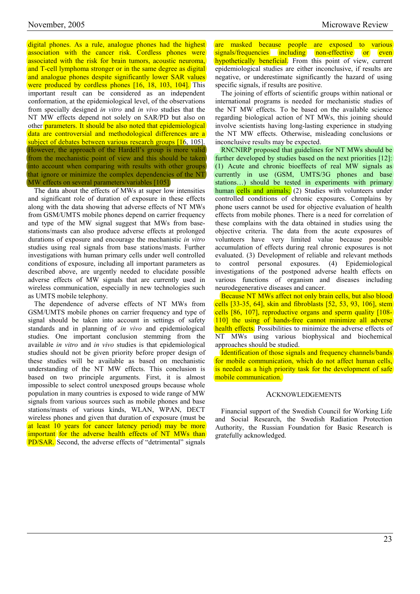digital phones. As a rule, analogue phones had the highest association with the cancer risk. Cordless phones were associated with the risk for brain tumors, acoustic neuroma, and T-cell lymphoma stronger or in the same degree as digital and analogue phones despite significantly lower SAR values were produced by cordless phones [16, 18, 103, 104]. This important result can be considered as an independent conformation, at the epidemiological level, of the observations from specially designed *in vitro* and *in vivo* studies that the NT MW effects depend not solely on SAR/PD but also on other parameters. It should be also noted that epidemiological data are controversial and methodological differences are a subject of debates between various research groups [16, 105]. However, the approach of the Hardell's group is more valid from the mechanistic point of view and this should be taken into account when comparing with results with other groups that ignore or minimize the complex dependencies of the NT MW effects on several parameters/variables [105].

The data about the effects of MWs at super low intensities and significant role of duration of exposure in these effects along with the data showing that adverse effects of NT MWs from GSM/UMTS mobile phones depend on carrier frequency and type of the MW signal suggest that MWs from basestations/masts can also produce adverse effects at prolonged durations of exposure and encourage the mechanistic *in vitro* studies using real signals from base stations/masts. Further investigations with human primary cells under well controlled conditions of exposure, including all important parameters as described above, are urgently needed to elucidate possible adverse effects of MW signals that are currently used in wireless communication, especially in new technologies such as UMTS mobile telephony.

The dependence of adverse effects of NT MWs from GSM/UMTS mobile phones on carrier frequency and type of signal should be taken into account in settings of safety standards and in planning of *in vivo* and epidemiological studies. One important conclusion stemming from the available *in vitro* and *in vivo* studies is that epidemiological studies should not be given priority before proper design of these studies will be available as based on mechanistic understanding of the NT MW effects. This conclusion is based on two principle arguments. First, it is almost impossible to select control unexposed groups because whole population in many countries is exposed to wide range of MW signals from various sources such as mobile phones and base stations/masts of various kinds, WLAN, WPAN, DECT wireless phones and given that duration of exposure (must be at least 10 years for cancer latency period) may be more important for the adverse health effects of NT MWs than PD/SAR. Second, the adverse effects of "detrimental" signals

are masked because people are exposed to various signals/frequencies including non-effective or even hypothetically beneficial. From this point of view, current epidemiological studies are either inconclusive, if results are negative, or underestimate significantly the hazard of using specific signals, if results are positive.

The joining of efforts of scientific groups within national or international programs is needed for mechanistic studies of the NT MW effects. To be based on the available science regarding biological action of NT MWs, this joining should involve scientists having long-lasting experience in studying the NT MW effects. Otherwise, misleading conclusions or inconclusive results may be expected.

RNCNIRP proposed that guidelines for NT MWs should be further developed by studies based on the next priorities [12]: (1) Acute and chronic bioeffects of real MW signals as currently in use (GSM, UMTS/3G phones and base stations…) should be tested in experiments with primary human cells and animals;  $(2)$  Studies with volunteers under controlled conditions of chronic exposures. Complains by phone users cannot be used for objective evaluation of health effects from mobile phones. There is a need for correlation of these complains with the data obtained in studies using the objective criteria. The data from the acute exposures of volunteers have very limited value because possible accumulation of effects during real chronic exposures is not evaluated. (3) Development of reliable and relevant methods to control personal exposures. (4) Epidemiological investigations of the postponed adverse health effects on various functions of organism and diseases including neurodegenerative diseases and cancer.

Because NT MWs affect not only brain cells, but also blood cells [33-35, 64], skin and fibroblasts [52, 53, 93, 106], stem cells [86, 107], reproductive organs and sperm quality [108- 110] the using of hands-free cannot minimize all adverse health effects. Possibilities to minimize the adverse effects of NT MWs using various biophysical and biochemical approaches should be studied.

Identification of those signals and frequency channels/bands for mobile communication, which do not affect human cells, is needed as a high priority task for the development of safe mobile communication.

#### ACKNOWLEDGEMENTS

Financial support of the Swedish Council for Working Life and Social Research, the Swedish Radiation Protection Authority, the Russian Foundation for Basic Research is gratefully acknowledged.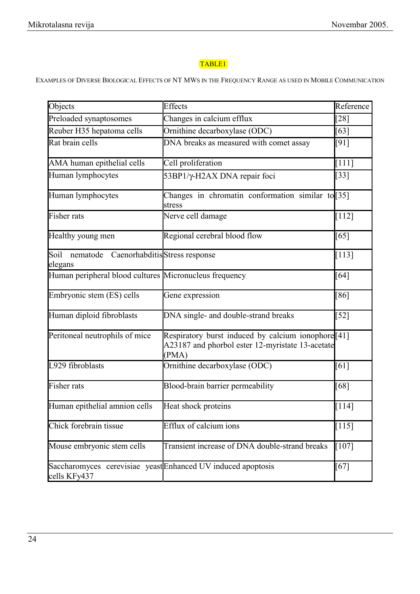## TABLE1

EXAMPLES OF DIVERSE BIOLOGICAL EFFECTS OF NT MWS IN THE FREQUENCY RANGE AS USED IN MOBILE COMMUNICATION

| Objects                                                                      | <b>Effects</b>                                                                                                              | Reference |
|------------------------------------------------------------------------------|-----------------------------------------------------------------------------------------------------------------------------|-----------|
| Preloaded synaptosomes                                                       | Changes in calcium efflux                                                                                                   | [28]      |
| Reuber H35 hepatoma cells                                                    | Ornithine decarboxylase (ODC)                                                                                               | [63]      |
| Rat brain cells                                                              | DNA breaks as measured with comet assay                                                                                     | $[91]$    |
| AMA human epithelial cells                                                   | Cell proliferation                                                                                                          | $[111]$   |
| Human lymphocytes                                                            | 53BP1/y-H2AX DNA repair foci                                                                                                | $[33]$    |
| Human lymphocytes                                                            | Changes in chromatin conformation similar to $[35]$<br>stress                                                               |           |
| Fisher rats                                                                  | Nerve cell damage                                                                                                           | $[112]$   |
| Healthy young men                                                            | Regional cerebral blood flow                                                                                                | [65]      |
| Soil<br>nematode Caenorhabditis Stress response<br>elegans                   |                                                                                                                             | $[113]$   |
| Human peripheral blood cultures Micronucleus frequency                       |                                                                                                                             | [64]      |
| Embryonic stem (ES) cells                                                    | Gene expression                                                                                                             | [86]      |
| Human diploid fibroblasts                                                    | DNA single- and double-strand breaks                                                                                        | $[52]$    |
| Peritoneal neutrophils of mice                                               | Respiratory burst induced by calcium ionophore <sup>[41]</sup><br>A23187 and phorbol ester 12-myristate 13-acetate<br>(PMA) |           |
| L929 fibroblasts                                                             | Ornithine decarboxylase (ODC)                                                                                               | [61]      |
| <b>Fisher</b> rats                                                           | Blood-brain barrier permeability                                                                                            | [68]      |
| Human epithelial amnion cells                                                | Heat shock proteins                                                                                                         | $[114]$   |
| Chick forebrain tissue                                                       | Efflux of calcium ions                                                                                                      | $[115]$   |
| Mouse embryonic stem cells                                                   | Transient increase of DNA double-strand breaks                                                                              | $[107]$   |
| Saccharomyces cerevisiae yeast Enhanced UV induced apoptosis<br>cells KFy437 |                                                                                                                             | $[67]$    |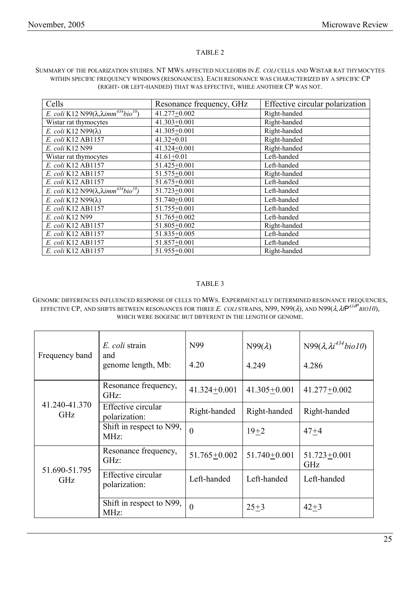## TABLE 2

#### SUMMARY OF THE POLARIZATION STUDIES. NT MWS AFFECTED NUCLEOIDS IN *E. COLI* CELLS AND WISTAR RAT THYMOCYTES WITHIN SPECIFIC FREQUENCY WINDOWS (RESONANCES). EACH RESONANCE WAS CHARACTERIZED BY A SPECIFIC CP (RIGHT- OR LEFT-HANDED) THAT WAS EFFECTIVE, WHILE ANOTHER CP WAS NOT.

| Cells                                                     | Resonance frequency, GHz | Effective circular polarization |
|-----------------------------------------------------------|--------------------------|---------------------------------|
| E. coli K12 N99(λ,λimm <sup>434</sup> bio <sup>10</sup> ) | 41.277+0.002             | Right-handed                    |
| Wistar rat thymocytes                                     | 41.303+0.001             | Right-handed                    |
| E. coli K12 N99 $(\lambda)$                               | 41.305+0.001             | Right-handed                    |
| E. coli K12 AB1157                                        | $41.32 + 0.01$           | Right-handed                    |
| E. coli K12 N99                                           | 41.324+0.001             | Right-handed                    |
| Wistar rat thymocytes                                     | $41.61 + 0.01$           | Left-handed                     |
| E. coli K12 AB1157                                        | 51.425+0.001             | Left-handed                     |
| E. coli K12 AB1157                                        | 51.575+0.001             | Right-handed                    |
| E. coli K12 AB1157                                        | 51.675+0.001             | Left-handed                     |
| E. coli K12 N99(λ,λimm <sup>434</sup> bio <sup>10</sup> ) | 51.723+0.001             | Left-handed                     |
| E. coli K12 N99 $(\lambda)$                               | 51.740+0.001             | Left-handed                     |
| E. coli K12 AB1157                                        | 51.755+0.001             | Left-handed                     |
| E. coli K12 N99                                           | 51.765+0.002             | Left-handed                     |
| E. coli K12 AB1157                                        | 51.805+0.002             | Right-handed                    |
| E. coli K12 AB1157                                        | 51.835+0.005             | Left-handed                     |
| E. coli K12 AB1157                                        | 51.857+0.001             | Left-handed                     |
| E. coli K12 AB1157                                        | 51.955+0.001             | Right-handed                    |

## TABLE 3

GENOMIC DIFFERENCES INFLUENCED RESPONSE OF CELLS TO MWS. EXPERIMENTALLY DETERMINED RESONANCE FREQUENCIES, EFFECTIVE CP, AND SHIFTS BETWEEN RESONANCES FOR THREE *E. COLI* STRAINS, N99, N99(λ), AND N99(λ*,*λ*I*P*<sup>434</sup>*<sup>P</sup> *BIO10*), WHICH WERE ISOGENIC BUT DIFFERENT IN THE LENGTH OF GENOME.

| Frequency band              | E. coli strain<br>and<br>genome length, Mb: | N99<br>4.20      | $N99(\lambda)$<br>4.249 | N99 $(\lambda, \lambda i^{434} bio10)$<br>4.286 |
|-----------------------------|---------------------------------------------|------------------|-------------------------|-------------------------------------------------|
| 41.240-41.370<br><b>GHz</b> | Resonance frequency,<br>GHz:                | $41.324 + 0.001$ | $41.305 \pm 0.001$      | 41.277 ± 0.002                                  |
|                             | Effective circular<br>polarization:         | Right-handed     | Right-handed            | Right-handed                                    |
|                             | Shift in respect to N99,<br>MHz:            | $\theta$         | $19+2$                  | $47 + 4$                                        |
| 51.690-51.795<br><b>GHz</b> | Resonance frequency,<br>GHz:                | $51.765 + 0.002$ | $51.740 + 0.001$        | $51.723 + 0.001$<br>GHz                         |
|                             | Effective circular<br>polarization:         | Left-handed      | Left-handed             | Left-handed                                     |
|                             | Shift in respect to N99,<br>MHz:            | $\theta$         | $25 + 3$                | $42 + 3$                                        |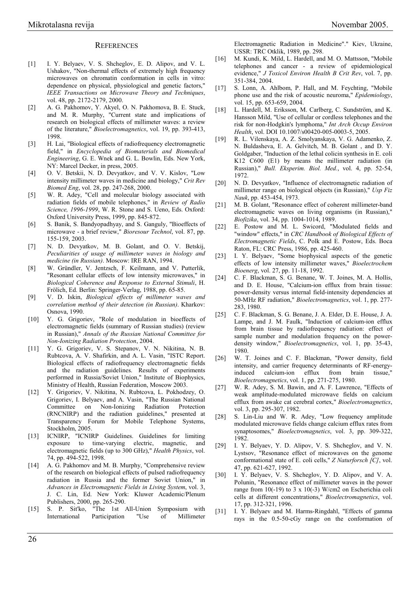#### **REFERENCES**

- [1] I. Y. Belyaev, V. S. Shcheglov, E. D. Alipov, and V. L. Ushakov, "Non-thermal effects of extremely high frequency microwaves on chromatin conformation in cells in vitro: dependence on physical, physiological and genetic factors," *IEEE Transactions on Microwave Theory and Techniques*, vol. 48, pp. 2172-2179, 2000.
- [2] A. G. Pakhomov, Y. Akyel, O. N. Pakhomova, B. E. Stuck, and M. R. Murphy, "Current state and implications of research on biological effects of millimeter waves: a review of the literature," *Bioelectromagnetics*, vol. 19, pp. 393-413, 1998.
- [3] H. Lai, "Biological effects of radiofrequency electromagnetic field," in *Encyclopedia of Biomaterials and Biomedical Engineering*, G. E. Wnek and G. L. Bowlin, Eds. New York, NY: Marcel Decker, in press, 2005.
- [4] O. V. Betskii, N. D. Devyatkov, and V. V. Kislov, "Low intensity millimeter waves in medicine and biology," *Crit Rev Biomed Eng*, vol. 28, pp. 247-268, 2000.
- [5] W. R. Adey, "Cell and molecular biology associated with radiation fields of mobile telephones," in *Review of Radio Science, 1996-1999*, W. R. Stone and S. Ueno, Eds. Oxford: Oxford University Press, 1999, pp. 845-872.
- [6] S. Banik, S. Bandyopadhyay, and S. Ganguly, "Bioeffects of microwave - a brief review," *Bioresour Technol*, vol. 87, pp. 155-159, 2003.
- [7] N. D. Devyatkov, M. B. Golant, and O. V. Betskij, *Peculiarities of usage of millimeter waves in biology and medicine (in Russian)*. Moscow: IRE RAN, 1994.
- [8] W. Gründler, V. Jentzsch, F. Keilmann, and V. Putterlik, "Resonant cellular effects of low intensity microwaves," in *Biological Coherence and Response to External Stimuli*, H. Frölich, Ed. Berlin: Springer-Verlag, 1988, pp. 65-85.
- [9] V. D. Iskin, *Biological effects of millimeter waves and correlation method of their detection (in Russian)*. Kharkov: Osnova, 1990.
- [10] Y. G. Grigoriev, "Role of modulation in bioeffects of electromagnetic fields (summary of Russian studies) (review in Russian)," *Annals of the Russian National Committee for Non-Ionizing Radiation Protection*, 2004.
- [11] Y. G. Grigoriev, V. S. Stepanov, V. N. Nikitina, N. B. Rubtcova, A. V. Shafirkin, and A. L. Vasin, "ISTC Report. Biological effects of radiofrequency electromagnetic fields and the radiation guidelines. Results of experiments performed in Russia/Soviet Union," Institute of Biophysics, Ministry of Health, Russian Federation, Moscow 2003.
- [12] Y. Grigoriev, V. Nikitina, N. Rubtcova, L. Pokhodzey, O. Grigoriev, I. Belyaev, and A. Vasin, "The Russian National Committee on Non-Ionizing Radiation Protection (RNCNIRP) and the radiation guidelines," presented at Transparency Forum for Mobile Telephone Systems, Stockholm, 2005.
- [13] ICNIRP, "ICNIRP Guidelines. Guidelines for limiting exposure to time-varying electric, magnetic, and electromagnetic fields (up to 300 GHz)," *Health Physics*, vol. 74, pp. 494-522, 1998.
- [14] A. G. Pakhomov and M. B. Murphy, "Comprehensive review of the research on biological effects of pulsed radiofrequency radiation in Russia and the former Soviet Union," in *Advances in Electromagnetic Fields in Living System*, vol. 3, J. C. Lin, Ed. New York: Kluwer Academic/Plenum Publishers, 2000, pp. 265-290.
- [15] S. P. Sit'ko, "The 1st All-Union Symposium with International Participation "Use of Millimeter

Electromagnetic Radiation in Medicine"." Kiev, Ukraine, USSR: TRC Otklik, 1989, pp. 298.

- [16] M. Kundi, K. Mild, L. Hardell, and M. O. Mattsson, "Mobile telephones and cancer - a review of epidemiological evidence," *J Toxicol Environ Health B Crit Rev*, vol. 7, pp. 351-384, 2004.
- [17] S. Lonn, A. Ahlbom, P. Hall, and M. Feychting, "Mobile phone use and the risk of acoustic neuroma," *Epidemiology*, vol. 15, pp. 653-659, 2004.
- [18] L. Hardell, M. Eriksson, M. Carlberg, C. Sundström, and K. Hansson Mild, "Use of cellular or cordless telephones and the risk for non-Hodgkin's lymphoma," *Int Arch Occup Environ Health*, vol. DOI 10.1007/s00420-005-0003-5, 2005.
- [19] R. L. Vilenskaya, A. Z. Smolyanskaya, V. G. Adamenko, Z. N. Buldasheva, E. A. Gelvitch, M. B. Golant , and D. Y. Goldgaber, "Induction of the lethal colicin synthesis in E. coli K12 C600 (E1) by means the millimeter radiation (in Russian)," *Bull. Eksperim. Biol. Med.*, vol. 4, pp. 52-54, 1972.
- [20] N. D. Devyatkov, "Influence of electromagnetic radiation of millimeter range on biological objects (in Russian)," *Usp Fiz Nauk*, pp. 453-454, 1973.
- [21] M. B. Golant, "Resonance effect of coherent millimeter-band electromagnetic waves on living organisms (in Russian)," *Biofizika*, vol. 34, pp. 1004-1014, 1989.
- [22] E. Postow and M. L. Swicord, "Modulated fields and "window" effects," in *CRC Handbook of Biological Effects of Electromagnetic Fields*, C. Polk and E. Postow, Eds. Boca Raton, FL: CRC Press, 1986, pp. 425-460.
- [23] I. Y. Belyaev, "Some biophysical aspects of the genetic effects of low intensity millimeter waves," *Bioelectrochem Bioenerg*, vol. 27, pp. 11-18, 1992.
- [24] C. F. Blackman, S. G. Benane, W. T. Joines, M. A. Hollis, and D. E. House, "Calcium-ion efflux from brain tissue: power-density versus internal field-intensity dependencies at 50-MHz RF radiation," *Bioelectromagnetics*, vol. 1, pp. 277- 283, 1980.
- [25] C. F. Blackman, S. G. Benane, J. A. Elder, D. E. House, J. A. Lampe, and J. M. Faulk, "Induction of calcium-ion efflux from brain tissue by radiofrequency radiation: effect of sample number and modulation frequency on the powerdensity window," *Bioelectromagnetics*, vol. 1, pp. 35-43, 1980.
- [26] W. T. Joines and C. F. Blackman, "Power density, field intensity, and carrier frequency determinants of RF-energyinduced calcium-ion efflux from brain tissue," *Bioelectromagnetics*, vol. 1, pp. 271-275, 1980.
- [27] W. R. Adey, S. M. Bawin, and A. F. Lawrence, "Effects of weak amplitude-modulated microwave fields on calcium efflux from awake cat cerebral cortex," *Bioelectromagnetics*, vol. 3, pp. 295-307, 1982.
- [28] S. Lin-Liu and W. R. Adey, "Low frequency amplitude modulated microwave fields change calcium efflux rates from synaptosomes," *Bioelectromagnetics*, vol. 3, pp. 309-322, 1982.
- [29] I. Y. Belyaev, Y. D. Alipov, V. S. Shcheglov, and V. N. Lystsov, "Resonance effect of microwaves on the genome conformational state of E. coli cells," *Z Naturforsch [C]*, vol. 47, pp. 621-627, 1992.
- [30] I. Y. Belyaev, V. S. Shcheglov, Y. D. Alipov, and V. A. Polunin, "Resonance effect of millimeter waves in the power range from 10(-19) to 3 x 10(-3) W/cm2 on Escherichia coli cells at different concentrations," *Bioelectromagnetics*, vol. 17, pp. 312-321, 1996.
- [31] I. Y. Belyaev and M. Harms-Ringdahl, "Effects of gamma rays in the 0.5-50-cGy range on the conformation of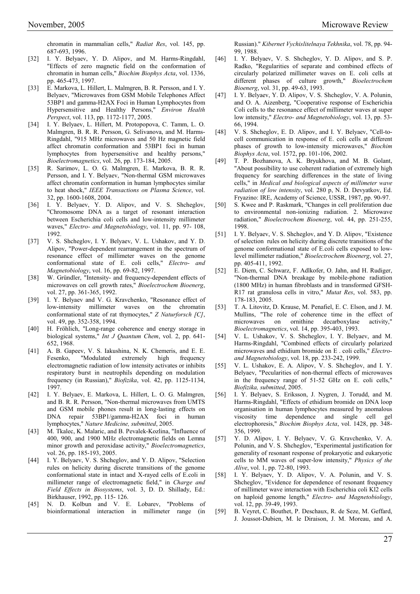chromatin in mammalian cells," *Radiat Res*, vol. 145, pp. 687-693, 1996.

- [32] I. Y. Belyaev, Y. D. Alipov, and M. Harms-Ringdahl, "Effects of zero magnetic field on the conformation of chromatin in human cells," *Biochim Biophys Acta*, vol. 1336, pp. 465-473, 1997.
- [33] E. Markova, L. Hillert, L. Malmgren, B. R. Persson, and I. Y. Belyaev, "Microwaves from GSM Mobile Telephones Affect 53BP1 and gamma-H2AX Foci in Human Lymphocytes from Hypersensitive and Healthy Persons," *Environ Health Perspect*, vol. 113, pp. 1172-1177, 2005.
- [34] I. Y. Belyaev, L. Hillert, M. Protopopova, C. Tamm, L. O. Malmgren, B. R. R. Persson, G. Selivanova, and M. Harms-Ringdahl, "915 MHz microwaves and 50 Hz magnetic field affect chromatin conformation and 53BP1 foci in human lymphocytes from hypersensitive and healthy persons," *Bioelectromagnetics*, vol. 26, pp. 173-184, 2005.
- [35] R. Sarimov, L. O. G. Malmgren, E. Markova, B. R. R. Persson, and I. Y. Belyaev, "Non-thermal GSM microwaves affect chromatin conformation in human lymphocytes similar to heat shock," *IEEE Transactions on Plasma Science*, vol. 32, pp. 1600-1608, 2004.
- [36] I. Y. Belyaev, Y. D. Alipov, and V. S. Shcheglov, "Chromosome DNA as a target of resonant interaction between Escherichia coli cells and low-intensity millimeter waves," *Electro- and Magnetobiology*, vol. 11, pp. 97- 108, 1992.
- [37] V. S. Shcheglov, I. Y. Belyaev, V. L. Ushakov, and Y. D. Alipov, "Power-dependent rearrangement in the spectrum of resonance effect of millimeter waves on the genome conformational state of E. coli cells," *Electro- and Magnetobiology*, vol. 16, pp. 69-82, 1997.
- [38] W. Gründler, "Intensity- and frequency-dependent effects of microwaves on cell growth rates," *Bioelectrochem Bioenerg*, vol. 27, pp. 361-365, 1992.
- [39] I. Y. Belyaev and V. G. Kravchenko, "Resonance effect of low-intensity millimeter waves on the chromatin conformational state of rat thymocytes," *Z Naturforsch [C]*, vol. 49, pp. 352-358, 1994.
- [40] H. Fröhlich, "Long-range coherence and energy storage in biological systems," *Int J Quantum Chem*, vol. 2, pp. 641- 652, 1968.
- [41] A. B. Gapeev, V. S. Iakushina, N. K. Chemeris, and E. E. Fesenko, "Modulated extremely high frequency electromagnetic radiation of low intensity activates or inhibits respiratory burst in neutrophils depending on modulation frequency (in Russian)," *Biofizika*, vol. 42, pp. 1125-1134, 1997.
- [42] I. Y. Belyaev, E. Markova, L. Hillert, L. O. G. Malmgren, and B. R. R. Persson, "Non-thermal microwaves from UMTS and GSM mobile phones result in long-lasting effects on DNA repair 53BP1/gamma-H2AX foci in human lymphocytes," *Nature Medicine, submitted*, 2005.
- [43] M. Tkalec, K. Malaric, and B. Pevalek-Kozlina, "Influence of 400, 900, and 1900 MHz electromagnetic fields on Lemna minor growth and peroxidase activity," *Bioelectromagnetics*, vol. 26, pp. 185-193, 2005.
- [44] I. Y. Belyaev, V. S. Shcheglov, and Y. D. Alipov, "Selection rules on helicity during discrete transitions of the genome conformational state in intact and X-rayed cells of E.coli in millimeter range of electromagnetic field," in *Charge and Field Effects in Biosystems*, vol. 3, D. D. Shillady, Ed.: Birkhauser, 1992, pp. 115- 126.
- [45] N. D. Kolbun and V. E. Lobarev, "Problems of bioinformational interaction in millimeter range (in

Russian)." *Kibernet Vychislitelnaya Tekhnika*, vol. 78, pp. 94- 99, 1988.

- [46] I. Y. Belyaev, V. S. Shcheglov, Y. D. Alipov, and S. P. Radko, "Regularities of separate and combined effects of circularly polarized millimeter waves on E. coli cells at different phases of culture growth," *Bioelectrochem Bioenerg*, vol. 31, pp. 49-63, 1993.
- [47] I. Y. Belyaev, Y. D. Alipov, V. S. Shcheglov, V. A. Polunin, and O. A. Aizenberg, "Cooperative response of Escherichia Coli cells to the resonance effect of millimeter waves at super low intensity," *Electro- and Magnetobiology*, vol. 13, pp. 53- 66, 1994.
- [48] V. S. Shcheglov, E. D. Alipov, and I. Y. Belyaev, "Cell-tocell communication in response of E. coli cells at different phases of growth to low-intensity microwaves," *Biochim Biophys Acta*, vol. 1572, pp. 101-106, 2002.
- [49] T. P. Bozhanova, A. K. Bryukhova, and M. B. Golant, "About possibility to use coherent radiation of extremely high frequency for searching differences in the state of living cells," in *Medical and biological aspects of millimeter wave radiation of low intensity*, vol. 280 p, N. D. Devyatkov, Ed. Fryazino: IRE, Academy of Science, USSR, 1987, pp. 90-97.
- [50] S. Kwee and P. Raskmark, "Changes in cell proliferation due to environmental non-ionizing radiation. 2. Microwave radiation," *Bioelectrochem Bioenerg*, vol. 44, pp. 251-255, 1998.
- [51] I. Y. Belyaev, V. S. Shcheglov, and Y. D. Alipov, "Existence" of selection rules on helicity during discrete transitions of the genome conformational state of E.coli cells exposed to lowlevel millimeter radiation," *Bioelectrochem Bioenerg*, vol. 27, pp. 405-411, 1992.
- [52] E. Diem, C. Schwarz, F. Adlkofer, O. Jahn, and H. Rudiger, "Non-thermal DNA breakage by mobile-phone radiation (1800 MHz) in human fibroblasts and in transformed GFSH-R17 rat granulosa cells in vitro," *Mutat Res*, vol. 583, pp. 178-183, 2005.
- [53] T. A. Litovitz, D. Krause, M. Penafiel, E. C. Elson, and J. M. Mullins, "The role of coherence time in the effect of microwaves on ornithine decarboxylase activity," *Bioelectromagnetics*, vol. 14, pp. 395-403, 1993.
- [54] V. L. Ushakov, V. S. Shcheglov, I. Y. Belyaev, and M. Harms-Ringdahl, "Combined effects of circularly polarized microwaves and ethidium bromide on E . coli cells," *Electroand Magnetobiology*, vol. 18, pp. 233-242, 1999.
- [55] V. L. Ushakov, E. A. Alipov, V. S. Shcheglov, and I. Y. Belyaev, "Pecularities of non-thermal effects of microwaves in the frequency range of 51-52 GHz on E. coli cells," *Biofizika, submitted*, 2005.
- [56] I. Y. Belyaev, S. Eriksson, J. Nygren, J. Torudd, and M. Harms-Ringdahl, "Effects of ethidium bromide on DNA loop organisation in human lymphocytes measured by anomalous viscosity time dependence and single cell gel electrophoresis," *Biochim Biophys Acta*, vol. 1428, pp. 348- 356, 1999.
- [57] Y. D. Alipov, I. Y. Belyaev, V. G. Kravchenko, V. A. Polunin, and V. S. Shcheglov, "Experimental justification for generality of resonant response of prokaryotic and eukaryotic cells to MM waves of super-low intensity," *Physics of the Alive*, vol. 1, pp. 72-80, 1993.
- [58] I. Y. Belyaev, Y. D. Alipov, V. A. Polunin, and V. S. Shcheglov, "Evidence for dependence of resonant frequency of millimeter wave interaction with Escherichia coli Kl2 cells on haploid genome length," *Electro- and Magnetobiology*, vol. 12, pp. 39-49, 1993.
- [59] B. Veyret, C. Bouthet, P. Deschaux, R. de Seze, M. Geffard, J. Joussot-Dubien, M. le Diraison, J. M. Moreau, and A.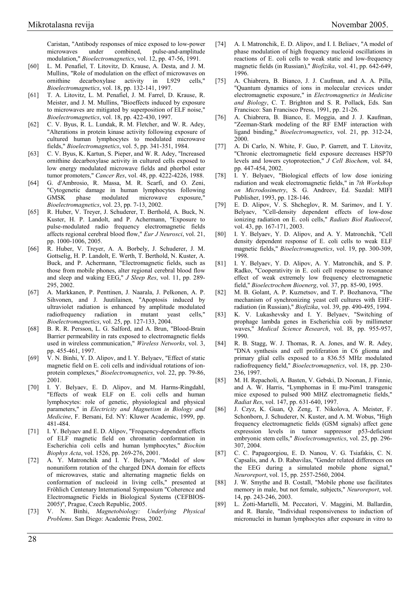Caristan, "Antibody responses of mice exposed to low-power microwaves under combined, pulse-and-amplitude modulation," *Bioelectromagnetics*, vol. 12, pp. 47-56, 1991.

- [60] L. M. Penafiel, T. Litovitz, D. Krause, A. Desta, and J. M. Mullins, "Role of modulation on the effect of microwaves on ornithine decarboxylase activity in L929 cells," *Bioelectromagnetics*, vol. 18, pp. 132-141, 1997.
- [61] T. A. Litovitz, L. M. Penafiel, J. M. Farrel, D. Krause, R. Meister, and J. M. Mullins, "Bioeffects induced by exposure to microwaves are mitigated by superposition of ELF noise," *Bioelectromagnetics*, vol. 18, pp. 422-430, 1997.
- [62] C. V. Byus, R. L. Lundak, R. M. Fletcher, and W. R. Adey, "Alterations in protein kinase activity following exposure of cultured human lymphocytes to modulated microwave fields," *Bioelectromagnetics*, vol. 5, pp. 341-351, 1984.
- [63] C. V. Byus, K. Kartun, S. Pieper, and W. R. Adey, "Increased ornithine decarboxylase activity in cultured cells exposed to low energy modulated microwave fields and phorbol ester tumor promoters," *Cancer Res*, vol. 48, pp. 4222-4226, 1988.
- [64] G. d'Ambrosio, R. Massa, M. R. Scarfi, and O. Zeni, "Cytogenetic damage in human lymphocytes following GMSK phase modulated microwave exposure, *Bioelectromagnetics*, vol. 23, pp. 7-13, 2002.
- [65] R. Huber, V. Treyer, J. Schuderer, T. Berthold, A. Buck, N. Kuster, H. P. Landolt, and P. Achermann, "Exposure to pulse-modulated radio frequency electromagnetic fields affects regional cerebral blood flow," *Eur J Neurosci*, vol. 21, pp. 1000-1006, 2005.
- [66] R. Huber, V. Treyer, A. A. Borbely, J. Schuderer, J. M. Gottselig, H. P. Landolt, E. Werth, T. Berthold, N. Kuster, A. Buck, and P. Achermann, "Electromagnetic fields, such as those from mobile phones, alter regional cerebral blood flow and sleep and waking EEG," *J Sleep Res*, vol. 11, pp. 289- 295, 2002.
- [67] A. Markkanen, P. Penttinen, J. Naarala, J. Pelkonen, A. P. Sihvonen, and J. Juutilainen, "Apoptosis induced by ultraviolet radiation is enhanced by amplitude modulated radiofrequency radiation in mutant yeast cells," *Bioelectromagnetics*, vol. 25, pp. 127-133, 2004.
- [68] B. R. R. Persson, L. G. Salford, and A. Brun, "Blood-Brain Barrier permeability in rats exposed to electromagnetic fields used in wireless communication," *Wireless Networks*, vol. 3, pp. 455-461, 1997.
- [69] V. N. Binhi, Y. D. Alipov, and I. Y. Belyaev, "Effect of static magnetic field on E. coli cells and individual rotations of ionprotein complexes," *Bioelectromagnetics*, vol. 22, pp. 79-86, 2001.
- [70] I. Y. Belyaev, E. D. Alipov, and M. Harms-Ringdahl, "Effects of weak ELF on E. coli cells and human lymphocytes: role of genetic, physiological and physical parameters," in *Electricity and Magnetism in Biology and Medicine*, F. Bersani, Ed. NY: Kluwer Academic, 1999, pp. 481-484.
- [71] I. Y. Belyaev and E. D. Alipov, "Frequency-dependent effects of ELF magnetic field on chromatin conformation in Escherichia coli cells and human lymphocytes," *Biochim Biophys Acta*, vol. 1526, pp. 269-276, 2001.
- [72] A. Y. Matronchik and I. Y. Belyaev, "Model of slow nonuniform rotation of the charged DNA domain for effects of microwaves, static and alternating magnetic fields on conformation of nucleoid in living cells," presented at Fröhlich Centenary International Symposium "Coherence and Electromagnetic Fields in Biological Systems (CEFBIOS-2005)", Prague, Czech Republic, 2005.
- [73] V. N. Binhi, *Magnetobiology: Underlying Physical Problems*. San Diego: Academic Press, 2002.
- [74] A. I. Matronchik, E. D. Alipov, and I. I. Beliaev, "A model of phase modulation of high frequency nucleoid oscillations in reactions of E. coli cells to weak static and low-frequency magnetic fields (in Russian)," *Biofizika*, vol. 41, pp. 642-649, 1996.
- [75] A. Chiabrera, B. Bianco, J. J. Caufman, and A. A. Pilla, "Quantum dynamics of ions in molecular crevices under electromagnetic exposure," in *Electromagnetics in Medicine and Biology*, C. T. Brighton and S. R. Pollack, Eds. San Francisco: San Francisco Press, 1991, pp. 21-26.
- [76] A. Chiabrera, B. Bianco, E. Moggia, and J. J. Kaufman, "Zeeman-Stark modeling of the RF EMF interaction with ligand binding," *Bioelectromagnetics*, vol. 21, pp. 312-24, 2000.
- [77] A. Di Carlo, N. White, F. Guo, P. Garrett, and T. Litovitz, "Chronic electromagnetic field exposure decreases HSP70 levels and lowers cytoprotection," *J Cell Biochem*, vol. 84, pp. 447-454, 2002.
- [78] I. Y. Belyaev, "Biological effects of low dose ionizing radiation and weak electromagnetic fields," in *7th Workshop on Microdosimetry*, S. G. Andreev, Ed. Suzdal: MIFI Publisher, 1993, pp. 128-146.
- [79] E. D. Alipov, V. S. Shcheglov, R. M. Sarimov, and I. Y. Belyaev, "Cell-density dependent effects of low-dose ionizing radiation on E. coli cells," *Radiats Biol Radioecol*, vol. 43, pp. 167-171, 2003.
- [80] I. Y. Belyaev, Y. D. Alipov, and A. Y. Matronchik, "Cell density dependent response of E. coli cells to weak ELF magnetic fields," *Bioelectromagnetics*, vol. 19, pp. 300-309, 1998.
- [81] I. Y. Belyaev, Y. D. Alipov, A. Y. Matronchik, and S. P. Radko, "Cooperativity in E. coli cell response to resonance effect of weak extremely low frequency electromagnetic field," *Bioelectrochem Bioenerg*, vol. 37, pp. 85-90, 1995.
- [82] M. B. Golant, A. P. Kuznetsov, and T. P. Bozhanova, "The mechanism of synchronizing yeast cell cultures with EHFradiation (in Russian)," *Biofizika*, vol. 39, pp. 490-495, 1994.
- [83] K. V. Lukashevsky and I. Y. Belyaev, "Switching of prophage lambda genes in Escherichia coli by millimeter waves," *Medical Science Research*, vol. I8, pp. 955-957, 1990.
- [84] R. B. Stagg, W. J. Thomas, R. A. Jones, and W. R. Adey, "DNA synthesis and cell proliferation in C6 glioma and primary glial cells exposed to a 836.55 MHz modulated radiofrequency field," *Bioelectromagnetics*, vol. 18, pp. 230- 236, 1997.
- [85] M. H. Repacholi, A. Basten, V. Gebski, D. Noonan, J. Finnie, and A. W. Harris, "Lymphomas in E mu-Pim1 transgenic mice exposed to pulsed 900 MHZ electromagnetic fields," *Radiat Res*, vol. 147, pp. 631-640, 1997.
- [86] J. Czyz, K. Guan, Q. Zeng, T. Nikolova, A. Meister, F. Schonborn, J. Schuderer, N. Kuster, and A. M. Wobus, "High frequency electromagnetic fields (GSM signals) affect gene expression levels in tumor suppressor p53-deficient embryonic stem cells," *Bioelectromagnetics*, vol. 25, pp. 296- 307, 2004.
- [87] C. C. Papageorgiou, E. D. Nanou, V. G. Tsiafakis, C. N. Capsalis, and A. D. Rabavilas, "Gender related differences on the EEG during a simulated mobile phone signal," *Neuroreport*, vol. 15, pp. 2557-2560, 2004.
- [88] J. W. Smythe and B. Costall, "Mobile phone use facilitates memory in male, but not female, subjects," *Neuroreport*, vol. 14, pp. 243-246, 2003.
- [89] L. Zotti-Martelli, M. Peccatori, V. Maggini, M. Ballardin, and R. Barale, "Individual responsiveness to induction of micronuclei in human lymphocytes after exposure in vitro to